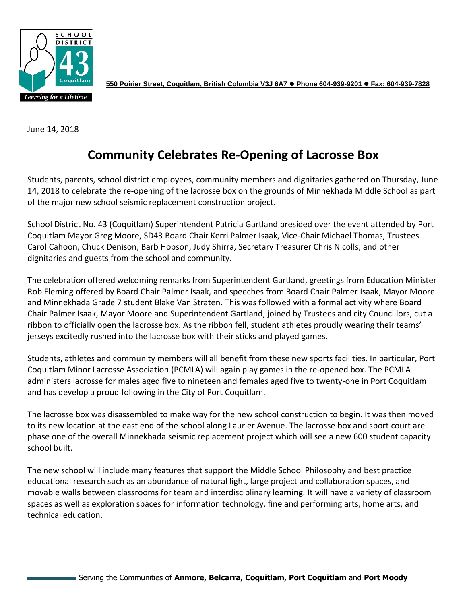

**550 Poirier Street, Coquitlam, British Columbia V3J 6A7** ⚫ **Phone 604-939-9201** ⚫ **Fax: 604-939-7828**

June 14, 2018

# **Community Celebrates Re-Opening of Lacrosse Box**

Students, parents, school district employees, community members and dignitaries gathered on Thursday, June 14, 2018 to celebrate the re-opening of the lacrosse box on the grounds of Minnekhada Middle School as part of the major new school seismic replacement construction project.

School District No. 43 (Coquitlam) Superintendent Patricia Gartland presided over the event attended by Port Coquitlam Mayor Greg Moore, SD43 Board Chair Kerri Palmer Isaak, Vice-Chair Michael Thomas, Trustees Carol Cahoon, Chuck Denison, Barb Hobson, Judy Shirra, Secretary Treasurer Chris Nicolls, and other dignitaries and guests from the school and community.

The celebration offered welcoming remarks from Superintendent Gartland, greetings from Education Minister Rob Fleming offered by Board Chair Palmer Isaak, and speeches from Board Chair Palmer Isaak, Mayor Moore and Minnekhada Grade 7 student Blake Van Straten. This was followed with a formal activity where Board Chair Palmer Isaak, Mayor Moore and Superintendent Gartland, joined by Trustees and city Councillors, cut a ribbon to officially open the lacrosse box. As the ribbon fell, student athletes proudly wearing their teams' jerseys excitedly rushed into the lacrosse box with their sticks and played games.

Students, athletes and community members will all benefit from these new sports facilities. In particular, Port Coquitlam Minor Lacrosse Association (PCMLA) will again play games in the re-opened box. The PCMLA administers lacrosse for males aged five to nineteen and females aged five to twenty-one in Port Coquitlam and has develop a proud following in the City of Port Coquitlam.

The lacrosse box was disassembled to make way for the new school construction to begin. It was then moved to its new location at the east end of the school along Laurier Avenue. The lacrosse box and sport court are phase one of the overall Minnekhada seismic replacement project which will see a new 600 student capacity school built.

The new school will include many features that support the Middle School Philosophy and best practice educational research such as an abundance of natural light, large project and collaboration spaces, and movable walls between classrooms for team and interdisciplinary learning. It will have a variety of classroom spaces as well as exploration spaces for information technology, fine and performing arts, home arts, and technical education.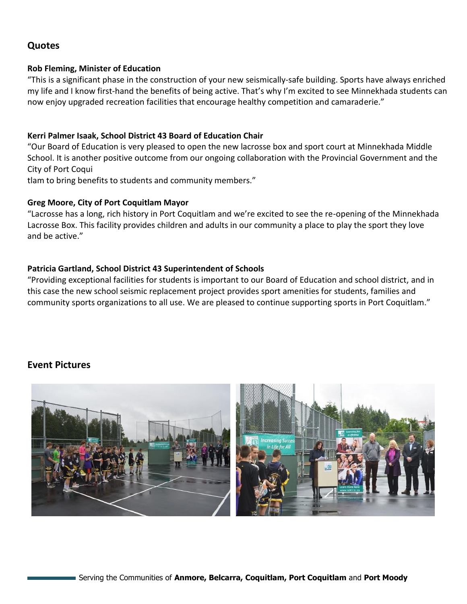## **Quotes**

#### **Rob Fleming, Minister of Education**

"This is a significant phase in the construction of your new seismically-safe building. Sports have always enriched my life and I know first-hand the benefits of being active. That's why I'm excited to see Minnekhada students can now enjoy upgraded recreation facilities that encourage healthy competition and camaraderie."

#### **Kerri Palmer Isaak, School District 43 Board of Education Chair**

"Our Board of Education is very pleased to open the new lacrosse box and sport court at Minnekhada Middle School. It is another positive outcome from our ongoing collaboration with the Provincial Government and the City of Port Coqui

tlam to bring benefits to students and community members."

#### **Greg Moore, City of Port Coquitlam Mayor**

"Lacrosse has a long, rich history in Port Coquitlam and we're excited to see the re-opening of the Minnekhada Lacrosse Box. This facility provides children and adults in our community a place to play the sport they love and be active."

### **Patricia Gartland, School District 43 Superintendent of Schools**

"Providing exceptional facilities for students is important to our Board of Education and school district, and in this case the new school seismic replacement project provides sport amenities for students, families and community sports organizations to all use. We are pleased to continue supporting sports in Port Coquitlam."

## **Event Pictures**